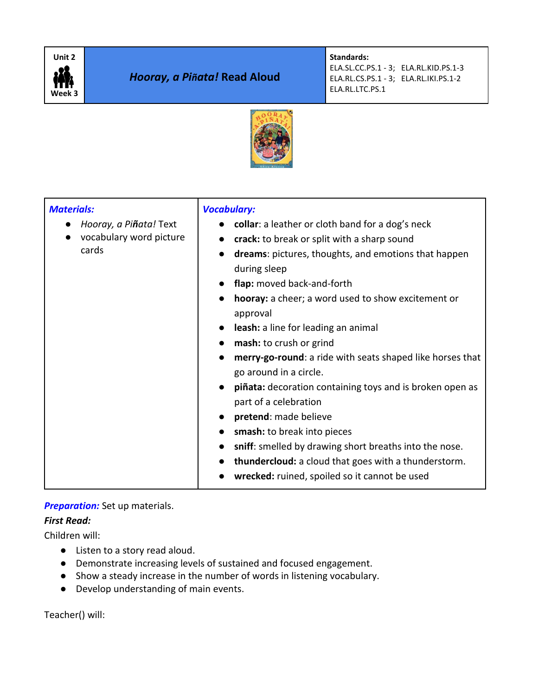

# *Hooray, a Piñata!* **Read Aloud**

**Standards:**  ELA.SL.CC.PS.1 - 3; ELA.RL.KID.PS.1-3 ELA.RL.CS.PS.1 - 3; ELA.RL.IKI.PS.1-2 ELA.RL.LTC.PS.1



| <b>Materials:</b><br>Hooray, a Piñata! Text<br>vocabulary word picture<br>cards | <b>Vocabulary:</b><br>collar: a leather or cloth band for a dog's neck<br>crack: to break or split with a sharp sound<br>dreams: pictures, thoughts, and emotions that happen<br>during sleep<br>flap: moved back-and-forth<br>hooray: a cheer; a word used to show excitement or<br>approval<br>leash: a line for leading an animal<br>mash: to crush or grind<br>merry-go-round: a ride with seats shaped like horses that<br>go around in a circle.<br>piñata: decoration containing toys and is broken open as<br>part of a celebration<br>pretend: made believe<br>smash: to break into pieces<br>sniff: smelled by drawing short breaths into the nose.<br>thundercloud: a cloud that goes with a thunderstorm.<br>wrecked: ruined, spoiled so it cannot be used |
|---------------------------------------------------------------------------------|------------------------------------------------------------------------------------------------------------------------------------------------------------------------------------------------------------------------------------------------------------------------------------------------------------------------------------------------------------------------------------------------------------------------------------------------------------------------------------------------------------------------------------------------------------------------------------------------------------------------------------------------------------------------------------------------------------------------------------------------------------------------|
|---------------------------------------------------------------------------------|------------------------------------------------------------------------------------------------------------------------------------------------------------------------------------------------------------------------------------------------------------------------------------------------------------------------------------------------------------------------------------------------------------------------------------------------------------------------------------------------------------------------------------------------------------------------------------------------------------------------------------------------------------------------------------------------------------------------------------------------------------------------|

### **Preparation:** Set up materials.

### *First Read:*

Children will:

- Listen to a story read aloud.
- Demonstrate increasing levels of sustained and focused engagement.
- Show a steady increase in the number of words in listening vocabulary.
- Develop understanding of main events.

Teacher() will: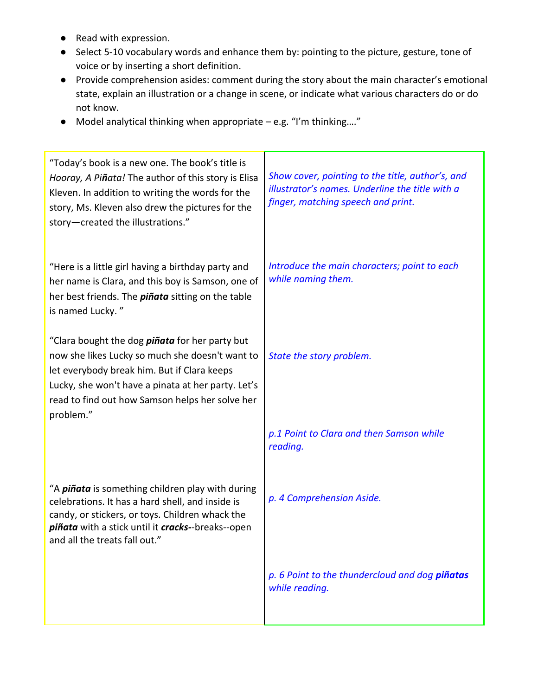- Read with expression.
- Select 5-10 vocabulary words and enhance them by: pointing to the picture, gesture, tone of voice or by inserting a short definition.
- Provide comprehension asides: comment during the story about the main character's emotional state, explain an illustration or a change in scene, or indicate what various characters do or do not know.
- Model analytical thinking when appropriate e.g. "I'm thinking…."

| "Today's book is a new one. The book's title is<br>Hooray, A Piñata! The author of this story is Elisa<br>Kleven. In addition to writing the words for the<br>story, Ms. Kleven also drew the pictures for the<br>story-created the illustrations."                           | Show cover, pointing to the title, author's, and<br>illustrator's names. Underline the title with a<br>finger, matching speech and print. |
|-------------------------------------------------------------------------------------------------------------------------------------------------------------------------------------------------------------------------------------------------------------------------------|-------------------------------------------------------------------------------------------------------------------------------------------|
| "Here is a little girl having a birthday party and<br>her name is Clara, and this boy is Samson, one of<br>her best friends. The <i>piñata</i> sitting on the table<br>is named Lucky."                                                                                       | Introduce the main characters; point to each<br>while naming them.                                                                        |
| "Clara bought the dog <i>piñata</i> for her party but<br>now she likes Lucky so much she doesn't want to<br>let everybody break him. But if Clara keeps<br>Lucky, she won't have a pinata at her party. Let's<br>read to find out how Samson helps her solve her<br>problem." | State the story problem.                                                                                                                  |
|                                                                                                                                                                                                                                                                               | p.1 Point to Clara and then Samson while<br>reading.                                                                                      |
| "A <i>piñata</i> is something children play with during<br>celebrations. It has a hard shell, and inside is<br>candy, or stickers, or toys. Children whack the<br>piñata with a stick until it cracks--breaks--open<br>and all the treats fall out."                          | p. 4 Comprehension Aside.                                                                                                                 |
|                                                                                                                                                                                                                                                                               | p. 6 Point to the thundercloud and dog piñatas<br>while reading.                                                                          |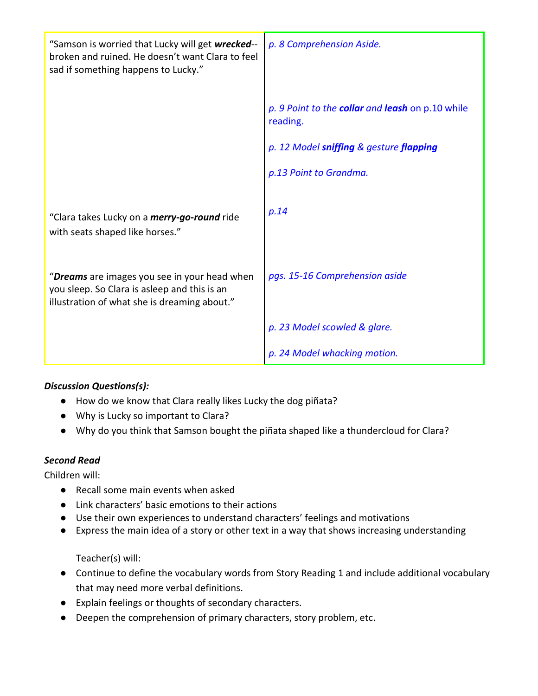| "Samson is worried that Lucky will get wrecked--<br>broken and ruined. He doesn't want Clara to feel<br>sad if something happens to Lucky."  | p. 8 Comprehension Aside.                                    |
|----------------------------------------------------------------------------------------------------------------------------------------------|--------------------------------------------------------------|
|                                                                                                                                              | p. 9 Point to the collar and leash on p.10 while<br>reading. |
|                                                                                                                                              | p. 12 Model sniffing & gesture flapping                      |
|                                                                                                                                              | p.13 Point to Grandma.                                       |
| "Clara takes Lucky on a <i>merry-go-round</i> ride<br>with seats shaped like horses."                                                        | p.14                                                         |
| "Dreams are images you see in your head when<br>you sleep. So Clara is asleep and this is an<br>illustration of what she is dreaming about." | pgs. 15-16 Comprehension aside                               |
|                                                                                                                                              | p. 23 Model scowled & glare.                                 |
|                                                                                                                                              | p. 24 Model whacking motion.                                 |

# *Discussion Questions(s):*

- How do we know that Clara really likes Lucky the dog piñata?
- Why is Lucky so important to Clara?
- Why do you think that Samson bought the piñata shaped like a thundercloud for Clara?

### *Second Read*

Children will:

- Recall some main events when asked
- Link characters' basic emotions to their actions
- Use their own experiences to understand characters' feelings and motivations
- Express the main idea of a story or other text in a way that shows increasing understanding

Teacher(s) will:

- Continue to define the vocabulary words from Story Reading 1 and include additional vocabulary that may need more verbal definitions.
- Explain feelings or thoughts of secondary characters.
- Deepen the comprehension of primary characters, story problem, etc.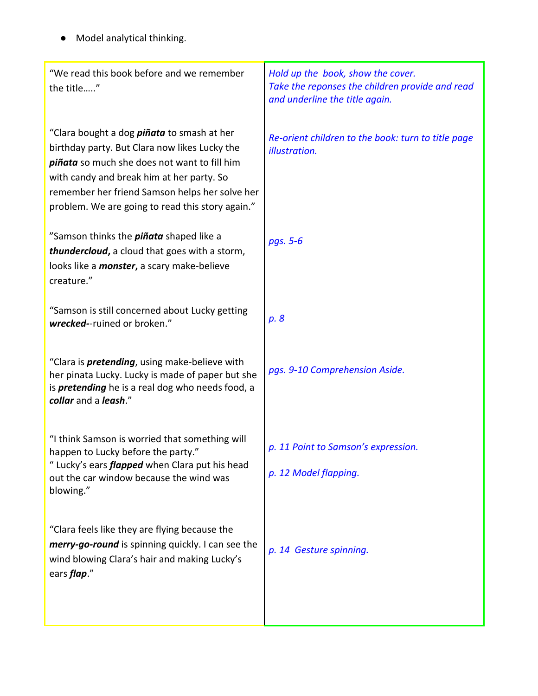● Model analytical thinking.

| "We read this book before and we remember<br>the title"                                                                                                                                                                                                                                               | Hold up the book, show the cover.<br>Take the reponses the children provide and read<br>and underline the title again. |
|-------------------------------------------------------------------------------------------------------------------------------------------------------------------------------------------------------------------------------------------------------------------------------------------------------|------------------------------------------------------------------------------------------------------------------------|
| "Clara bought a dog <i>piñata</i> to smash at her<br>birthday party. But Clara now likes Lucky the<br>piñata so much she does not want to fill him<br>with candy and break him at her party. So<br>remember her friend Samson helps her solve her<br>problem. We are going to read this story again." | Re-orient children to the book: turn to title page<br>illustration.                                                    |
| "Samson thinks the <i>piñata</i> shaped like a<br>thundercloud, a cloud that goes with a storm,<br>looks like a <i>monster</i> , a scary make-believe<br>creature."                                                                                                                                   | pgs. 5-6                                                                                                               |
| "Samson is still concerned about Lucky getting<br>wrecked--ruined or broken."                                                                                                                                                                                                                         | p. 8                                                                                                                   |
| "Clara is <i>pretending</i> , using make-believe with<br>her pinata Lucky. Lucky is made of paper but she<br>is <i>pretending</i> he is a real dog who needs food, a<br>collar and a leash."                                                                                                          | pgs. 9-10 Comprehension Aside.                                                                                         |
| "I think Samson is worried that something will<br>happen to Lucky before the party."<br>" Lucky's ears <i>flapped</i> when Clara put his head<br>out the car window because the wind was<br>blowing."                                                                                                 | p. 11 Point to Samson's expression.<br>p. 12 Model flapping.                                                           |
| "Clara feels like they are flying because the<br>merry-go-round is spinning quickly. I can see the<br>wind blowing Clara's hair and making Lucky's<br>ears <i>flap</i> ."                                                                                                                             | p. 14 Gesture spinning.                                                                                                |
|                                                                                                                                                                                                                                                                                                       |                                                                                                                        |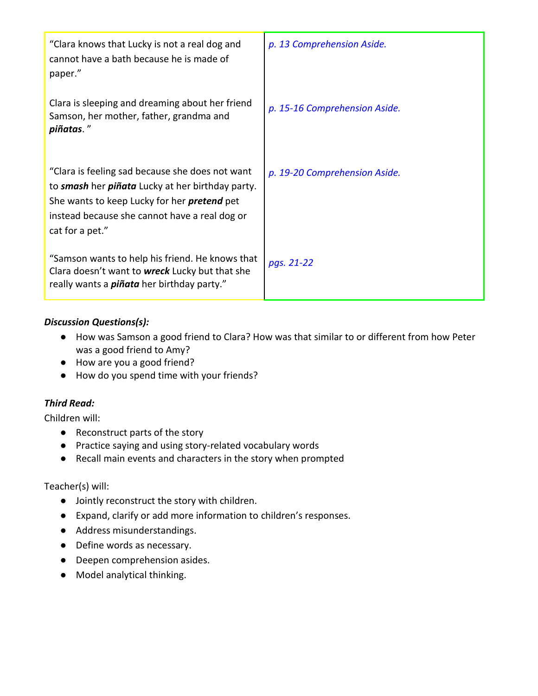| "Clara knows that Lucky is not a real dog and<br>cannot have a bath because he is made of<br>paper."                                                                                                                          | p. 13 Comprehension Aside.    |
|-------------------------------------------------------------------------------------------------------------------------------------------------------------------------------------------------------------------------------|-------------------------------|
| Clara is sleeping and dreaming about her friend<br>Samson, her mother, father, grandma and<br>piñatas."                                                                                                                       | p. 15-16 Comprehension Aside. |
| "Clara is feeling sad because she does not want<br>to smash her piñata Lucky at her birthday party.<br>She wants to keep Lucky for her <i>pretend</i> pet<br>instead because she cannot have a real dog or<br>cat for a pet." | p. 19-20 Comprehension Aside. |
| "Samson wants to help his friend. He knows that<br>Clara doesn't want to <b>wreck</b> Lucky but that she<br>really wants a <i>piñata</i> her birthday party."                                                                 | pgs. 21-22                    |

### *Discussion Questions(s):*

- How was Samson a good friend to Clara? How was that similar to or different from how Peter was a good friend to Amy?
- How are you a good friend?
- How do you spend time with your friends?

# *Third Read:*

Children will:

- Reconstruct parts of the story
- Practice saying and using story-related vocabulary words
- Recall main events and characters in the story when prompted

### Teacher(s) will:

- Jointly reconstruct the story with children.
- Expand, clarify or add more information to children's responses.
- Address misunderstandings.
- Define words as necessary.
- Deepen comprehension asides.
- Model analytical thinking.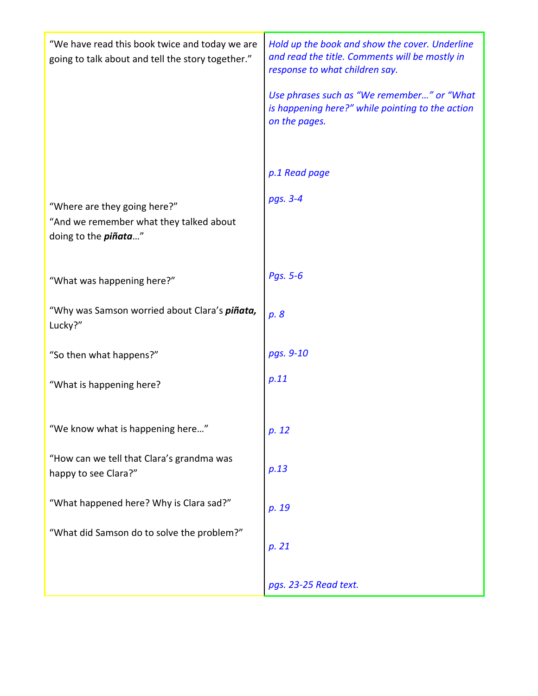| "We have read this book twice and today we are<br>going to talk about and tell the story together."     | Hold up the book and show the cover. Underline<br>and read the title. Comments will be mostly in<br>response to what children say. |
|---------------------------------------------------------------------------------------------------------|------------------------------------------------------------------------------------------------------------------------------------|
|                                                                                                         | Use phrases such as "We remember" or "What<br>is happening here?" while pointing to the action<br>on the pages.                    |
|                                                                                                         | p.1 Read page                                                                                                                      |
| "Where are they going here?"<br>"And we remember what they talked about<br>doing to the <i>piñata</i> " | pgs. 3-4                                                                                                                           |
| "What was happening here?"                                                                              | Pgs. 5-6                                                                                                                           |
| "Why was Samson worried about Clara's <i>piñata,</i><br>Lucky?"                                         | p. 8                                                                                                                               |
| "So then what happens?"                                                                                 | pgs. 9-10                                                                                                                          |
| "What is happening here?                                                                                | p.11                                                                                                                               |
| "We know what is happening here"                                                                        | p. 12                                                                                                                              |
| "How can we tell that Clara's grandma was<br>happy to see Clara?"                                       | p.13                                                                                                                               |
| "What happened here? Why is Clara sad?"                                                                 | p. 19                                                                                                                              |
| "What did Samson do to solve the problem?"                                                              | p. 21                                                                                                                              |
|                                                                                                         | pgs. 23-25 Read text.                                                                                                              |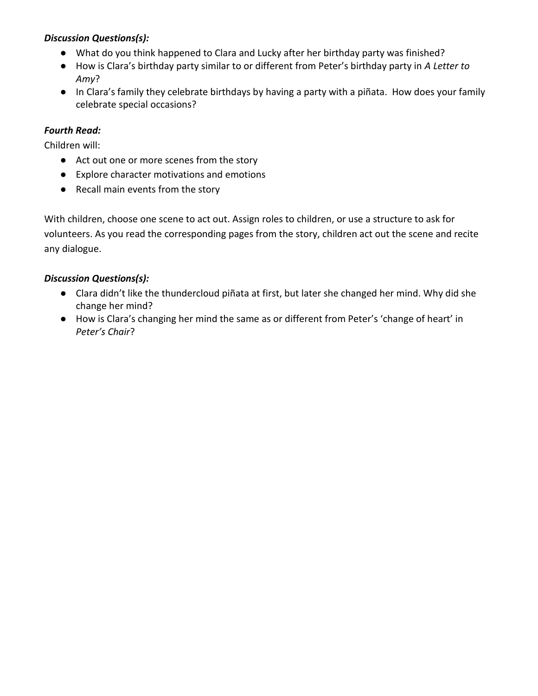### *Discussion Questions(s):*

- What do you think happened to Clara and Lucky after her birthday party was finished?
- How is Clara's birthday party similar to or different from Peter's birthday party in *A Letter to Amy*?
- In Clara's family they celebrate birthdays by having a party with a piñata. How does your family celebrate special occasions?

## *Fourth Read:*

Children will:

- Act out one or more scenes from the story
- Explore character motivations and emotions
- Recall main events from the story

With children, choose one scene to act out. Assign roles to children, or use a structure to ask for volunteers. As you read the corresponding pages from the story, children act out the scene and recite any dialogue.

### *Discussion Questions(s):*

- Clara didn't like the thundercloud piñata at first, but later she changed her mind. Why did she change her mind?
- How is Clara's changing her mind the same as or different from Peter's 'change of heart' in *Peter's Chair*?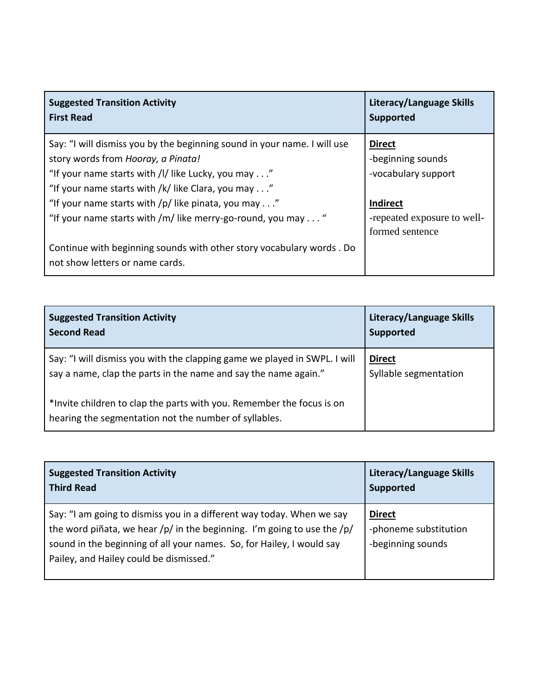| <b>Suggested Transition Activity</b>                                                                    | Literacy/Language Skills    |
|---------------------------------------------------------------------------------------------------------|-----------------------------|
| <b>First Read</b>                                                                                       | <b>Supported</b>            |
| Say: "I will dismiss you by the beginning sound in your name. I will use                                | <b>Direct</b>               |
| story words from Hooray, a Pinata!                                                                      | -beginning sounds           |
| "If your name starts with /l/ like Lucky, you may"                                                      | -vocabulary support         |
| "If your name starts with /k/ like Clara, you may"                                                      | <b>Indirect</b>             |
| "If your name starts with /p/ like pinata, you may"                                                     | -repeated exposure to well- |
| "If your name starts with /m/ like merry-go-round, you may "                                            | formed sentence             |
| Continue with beginning sounds with other story vocabulary words. Do<br>not show letters or name cards. |                             |

| <b>Suggested Transition Activity</b>                                                                                           | Literacy/Language Skills |
|--------------------------------------------------------------------------------------------------------------------------------|--------------------------|
| <b>Second Read</b>                                                                                                             | <b>Supported</b>         |
| Say: "I will dismiss you with the clapping game we played in SWPL. I will                                                      | <b>Direct</b>            |
| say a name, clap the parts in the name and say the name again."                                                                | Syllable segmentation    |
| *Invite children to clap the parts with you. Remember the focus is on<br>hearing the segmentation not the number of syllables. |                          |

| <b>Suggested Transition Activity</b>                                                                                                                                                                                                                                   | <b>Literacy/Language Skills</b>                             |
|------------------------------------------------------------------------------------------------------------------------------------------------------------------------------------------------------------------------------------------------------------------------|-------------------------------------------------------------|
| <b>Third Read</b>                                                                                                                                                                                                                                                      | <b>Supported</b>                                            |
| Say: "I am going to dismiss you in a different way today. When we say<br>the word piñata, we hear /p/ in the beginning. I'm going to use the $/p/$<br>sound in the beginning of all your names. So, for Hailey, I would say<br>Pailey, and Hailey could be dismissed." | <b>Direct</b><br>-phoneme substitution<br>-beginning sounds |